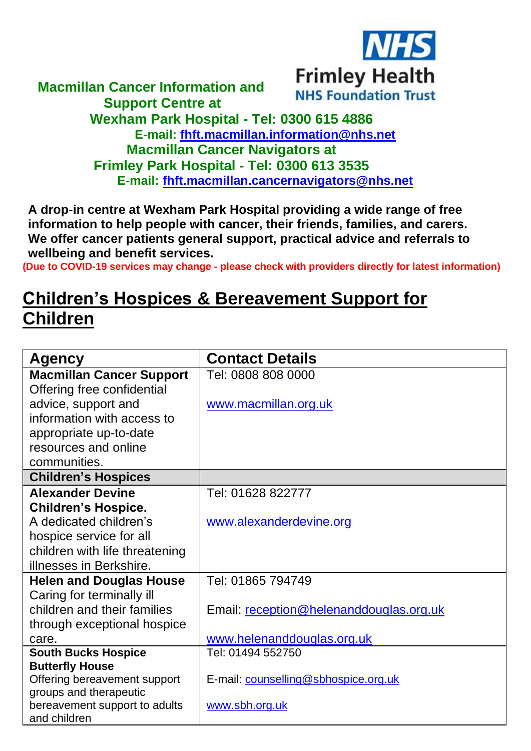

## **Macmillan Cancer Information and NHS Foundation Trust Support Centre at Wexham Park Hospital - Tel: 0300 615 4886 E-mail: [fhft.macmillan.information@nhs.net](mailto:fhft.macmillan.information@nhs.net) Macmillan Cancer Navigators at Frimley Park Hospital - Tel: 0300 613 3535 E-mail: [fhft.macmillan.cancernavigators@nhs.net](mailto:fhft.macmillan.cancernavigators@nhs.net)**

**A drop-in centre at Wexham Park Hospital providing a wide range of free information to help people with cancer, their friends, families, and carers. We offer cancer patients general support, practical advice and referrals to wellbeing and benefit services.**

**(Due to COVID-19 services may change - please check with providers directly for latest information)**

## **Children's Hospices & Bereavement Support for Children**

| <b>Agency</b>                                           | <b>Contact Details</b>                  |  |  |
|---------------------------------------------------------|-----------------------------------------|--|--|
| <b>Macmillan Cancer Support</b>                         | Tel: 0808 808 0000                      |  |  |
| Offering free confidential                              |                                         |  |  |
| advice, support and                                     | www.macmillan.org.uk                    |  |  |
| information with access to                              |                                         |  |  |
| appropriate up-to-date                                  |                                         |  |  |
| resources and online                                    |                                         |  |  |
| communities.                                            |                                         |  |  |
| <b>Children's Hospices</b>                              |                                         |  |  |
| <b>Alexander Devine</b>                                 | Tel: 01628 822777                       |  |  |
| <b>Children's Hospice.</b>                              |                                         |  |  |
| A dedicated children's                                  | www.alexanderdevine.org                 |  |  |
| hospice service for all                                 |                                         |  |  |
| children with life threatening                          |                                         |  |  |
| illnesses in Berkshire.                                 |                                         |  |  |
| <b>Helen and Douglas House</b>                          | Tel: 01865 794749                       |  |  |
| Caring for terminally ill                               |                                         |  |  |
| children and their families                             | Email: reception@helenanddouglas.org.uk |  |  |
| through exceptional hospice                             |                                         |  |  |
| care.                                                   | www.helenanddouglas.org.uk              |  |  |
| <b>South Bucks Hospice</b>                              | Tel: 01494 552750                       |  |  |
| <b>Butterfly House</b>                                  |                                         |  |  |
| Offering bereavement support                            | E-mail: counselling@sbhospice.org.uk    |  |  |
| groups and therapeutic<br>bereavement support to adults | www.sbh.org.uk                          |  |  |
| and children                                            |                                         |  |  |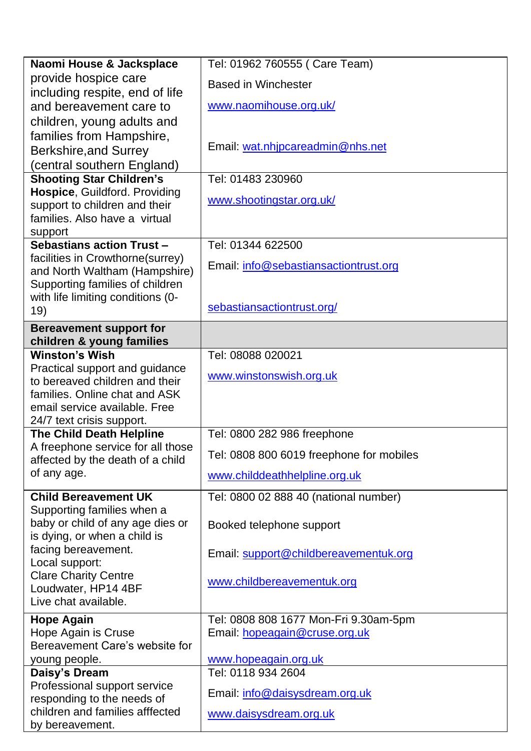| Naomi House & Jacksplace                                       | Tel: 01962 760555 ( Care Team)           |  |  |
|----------------------------------------------------------------|------------------------------------------|--|--|
| provide hospice care                                           | <b>Based in Winchester</b>               |  |  |
| including respite, end of life                                 |                                          |  |  |
| and bereavement care to                                        | www.naomihouse.org.uk/                   |  |  |
| children, young adults and                                     |                                          |  |  |
| families from Hampshire,                                       |                                          |  |  |
| Berkshire, and Surrey                                          | Email: wat.nhjpcareadmin@nhs.net         |  |  |
| (central southern England)                                     |                                          |  |  |
| <b>Shooting Star Children's</b>                                | Tel: 01483 230960                        |  |  |
| Hospice, Guildford. Providing                                  | www.shootingstar.org.uk/                 |  |  |
| support to children and their<br>families. Also have a virtual |                                          |  |  |
|                                                                |                                          |  |  |
| support<br>Sebastians action Trust -                           | Tel: 01344 622500                        |  |  |
| facilities in Crowthorne(surrey)                               |                                          |  |  |
| and North Waltham (Hampshire)                                  | Email: info@sebastiansactiontrust.org    |  |  |
| Supporting families of children                                |                                          |  |  |
| with life limiting conditions (0-                              |                                          |  |  |
| 19)                                                            | sebastiansactiontrust.org/               |  |  |
| <b>Bereavement support for</b>                                 |                                          |  |  |
| children & young families                                      |                                          |  |  |
| <b>Winston's Wish</b>                                          | Tel: 08088 020021                        |  |  |
| Practical support and guidance                                 | www.winstonswish.org.uk                  |  |  |
| to bereaved children and their                                 |                                          |  |  |
| families. Online chat and ASK<br>email service available. Free |                                          |  |  |
| 24/7 text crisis support.                                      |                                          |  |  |
| The Child Death Helpline                                       | Tel: 0800 282 986 freephone              |  |  |
| A freephone service for all those                              |                                          |  |  |
| affected by the death of a child                               | Tel: 0808 800 6019 freephone for mobiles |  |  |
| of any age.                                                    | www.childdeathhelpline.org.uk            |  |  |
| <b>Child Bereavement UK</b>                                    | Tel: 0800 02 888 40 (national number)    |  |  |
| Supporting families when a                                     |                                          |  |  |
| baby or child of any age dies or                               | Booked telephone support                 |  |  |
| is dying, or when a child is                                   |                                          |  |  |
| facing bereavement.                                            | Email: support@childbereavementuk.org    |  |  |
| Local support:<br><b>Clare Charity Centre</b>                  |                                          |  |  |
| Loudwater, HP14 4BF                                            | www.childbereavementuk.org               |  |  |
| Live chat available.                                           |                                          |  |  |
| <b>Hope Again</b>                                              | Tel: 0808 808 1677 Mon-Fri 9.30am-5pm    |  |  |
| Hope Again is Cruse                                            | Email: hopeagain@cruse.org.uk            |  |  |
| Bereavement Care's website for                                 |                                          |  |  |
| young people.                                                  | www.hopeagain.org.uk                     |  |  |
| Daisy's Dream                                                  | Tel: 0118 934 2604                       |  |  |
| Professional support service                                   |                                          |  |  |
| responding to the needs of                                     | Email: info@daisysdream.org.uk           |  |  |
| children and families afffected                                | www.daisysdream.org.uk                   |  |  |
| by bereavement.                                                |                                          |  |  |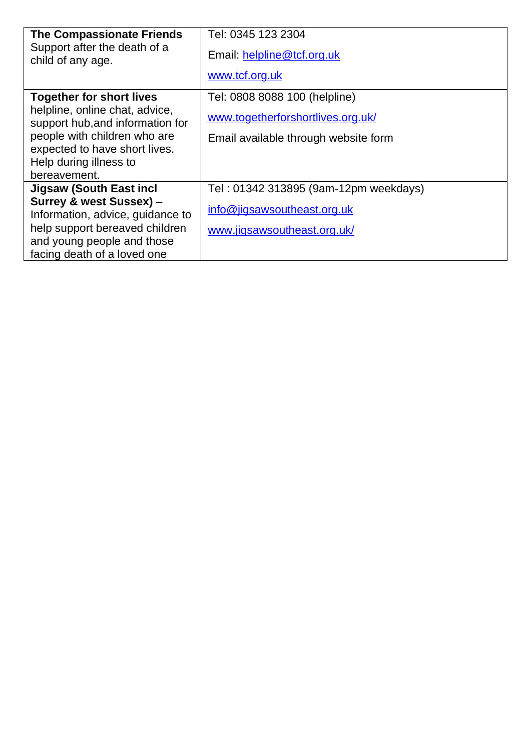| <b>The Compassionate Friends</b><br>Support after the death of a<br>child of any age.                                                                                                                            | Tel: 0345 123 2304<br>Email: helpline@tcf.org.uk<br>www.tcf.org.uk                                         |
|------------------------------------------------------------------------------------------------------------------------------------------------------------------------------------------------------------------|------------------------------------------------------------------------------------------------------------|
| <b>Together for short lives</b><br>helpline, online chat, advice,<br>support hub, and information for<br>people with children who are<br>expected to have short lives.<br>Help during illness to<br>bereavement. | Tel: 0808 8088 100 (helpline)<br>www.togetherforshortlives.org.uk/<br>Email available through website form |
| Jigsaw (South East incl<br>Surrey & west Sussex) -<br>Information, advice, guidance to<br>help support bereaved children<br>and young people and those<br>facing death of a loved one                            | Tel: 01342 313895 (9am-12pm weekdays)<br>info@jigsawsoutheast.org.uk<br>www.jigsawsoutheast.org.uk/        |